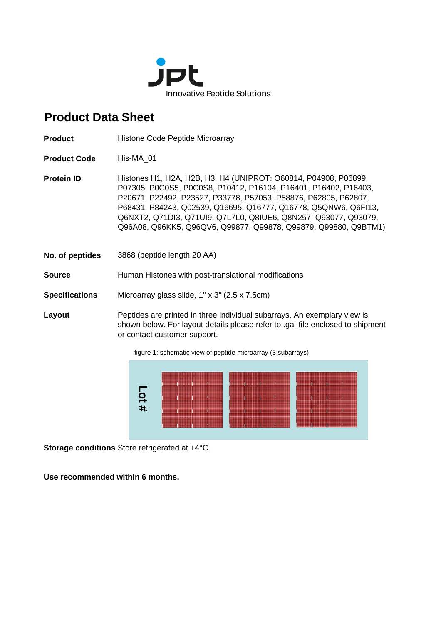

## **Product Data Sheet**

**Product** Histone Code Peptide Microarray

**Product Code** His-MA\_01

**Protein ID** Histones H1, H2A, H2B, H3, H4 (UNIPROT: 060814, P04908, P06899, P07305, P0C0S5, P0C0S8, P10412, P16104, P16401, P16402, P16403, P20671, P22492, P23527, P33778, P57053, P58876, P62805, P62807, P68431, P84243, Q02539, Q16695, Q16777, Q16778, Q5QNW6, Q6FI13, Q6NXT2, Q71DI3, Q71UI9, Q7L7L0, Q8IUE6, Q8N257, Q93077, Q93079, Q96A08, Q96KK5, Q96QV6, Q99877, Q99878, Q99879, Q99880, Q9BTM1)

**No. of peptides** 3868 (peptide length 20 AA)

**Source Human Histones with post-translational modifications** 

**Specifications** Microarray glass slide, 1" x 3" (2.5 x 7.5cm)

**Layout** Peptides are printed in three individual subarrays. An exemplary view is shown below. For layout details please refer to .gal-file enclosed to shipment or contact customer support.

figure 1: schematic view of peptide microarray (3 subarrays)



**Storage conditions** Store refrigerated at +4°C.

**Use recommended within 6 months.**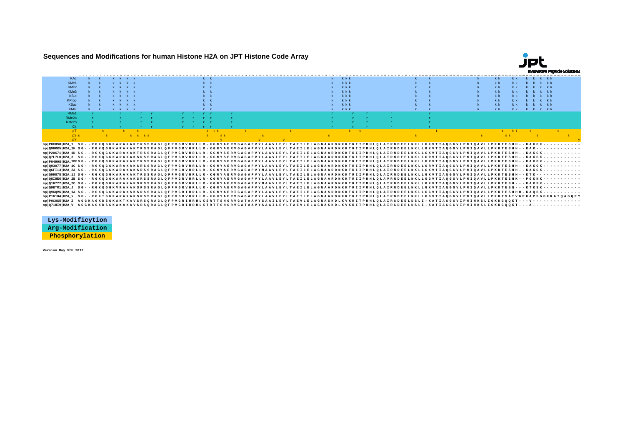**Sequences and Modifications for human Histone H2A on JPT Histone Code Array**



| <b>KAc</b>                                                                                                                                                                                |  |         |             |  |         |                                                  |  |  |  | $k$ $k$ $k$ |                      |  |  |  |                |               | k k k kk  |           |  |
|-------------------------------------------------------------------------------------------------------------------------------------------------------------------------------------------|--|---------|-------------|--|---------|--------------------------------------------------|--|--|--|-------------|----------------------|--|--|--|----------------|---------------|-----------|-----------|--|
| KMe1                                                                                                                                                                                      |  |         |             |  | $k - k$ |                                                  |  |  |  | k k         |                      |  |  |  | k k            | $k$ $k$       | k k k k k |           |  |
| KMe2                                                                                                                                                                                      |  |         |             |  |         |                                                  |  |  |  | k k         |                      |  |  |  | $k$ $k$        | k k           | k k k k k |           |  |
| KMe3                                                                                                                                                                                      |  |         |             |  |         |                                                  |  |  |  | k k         |                      |  |  |  | k k            |               |           | k k k k k |  |
| KBut                                                                                                                                                                                      |  |         |             |  |         |                                                  |  |  |  | kkk         |                      |  |  |  | $k$ $k$        | $k$ $k$       | k k k kk  |           |  |
| <b>KProp</b>                                                                                                                                                                              |  |         |             |  |         |                                                  |  |  |  | kkk         |                      |  |  |  | k k            |               | k k k k k |           |  |
| <b>KSuc</b>                                                                                                                                                                               |  |         |             |  |         |                                                  |  |  |  | kkk         |                      |  |  |  | k k            | k k           | k k k k k |           |  |
| KMal                                                                                                                                                                                      |  | k k k k |             |  |         |                                                  |  |  |  | kkk         |                      |  |  |  | k <sub>k</sub> | $k$ $k$       | k k k k k |           |  |
| RMe1                                                                                                                                                                                      |  |         |             |  | r r r r |                                                  |  |  |  |             |                      |  |  |  |                |               |           |           |  |
| RMe2a                                                                                                                                                                                     |  |         |             |  |         |                                                  |  |  |  |             |                      |  |  |  |                |               |           |           |  |
| RMe <sub>2s</sub>                                                                                                                                                                         |  |         |             |  |         |                                                  |  |  |  |             |                      |  |  |  |                |               |           |           |  |
| Cit                                                                                                                                                                                       |  |         |             |  |         |                                                  |  |  |  |             |                      |  |  |  |                |               |           |           |  |
| nT                                                                                                                                                                                        |  |         |             |  |         | <b>ELECT</b>                                     |  |  |  |             | <b>Channel House</b> |  |  |  |                | <b>E. ER.</b> |           |           |  |
|                                                                                                                                                                                           |  |         | <b>SSSS</b> |  |         | $\mathbf{g}$ and $\mathbf{g}$<br>SS <sub>3</sub> |  |  |  |             |                      |  |  |  |                | ss.           |           |           |  |
|                                                                                                                                                                                           |  |         |             |  |         |                                                  |  |  |  |             |                      |  |  |  |                |               |           |           |  |
|                                                                                                                                                                                           |  |         |             |  |         |                                                  |  |  |  |             |                      |  |  |  |                |               |           |           |  |
|                                                                                                                                                                                           |  |         |             |  |         |                                                  |  |  |  |             |                      |  |  |  |                |               |           |           |  |
|                                                                                                                                                                                           |  |         |             |  |         |                                                  |  |  |  |             |                      |  |  |  |                |               |           |           |  |
|                                                                                                                                                                                           |  |         |             |  |         |                                                  |  |  |  |             |                      |  |  |  |                |               |           |           |  |
|                                                                                                                                                                                           |  |         |             |  |         |                                                  |  |  |  |             |                      |  |  |  |                |               |           |           |  |
|                                                                                                                                                                                           |  |         |             |  |         |                                                  |  |  |  |             |                      |  |  |  |                |               |           |           |  |
| sp P04908 H2A 1BESG - - RGKQGGKARAKAKTRSSRAGLQFPVGRVHRLLR - KGNYSERVGAGAPVYLAAVLEYLTAEILELAGNAARDNKKTRIIPRHLQLAIRNDEELNKLLGRVTIAQGGVLPNIQAVLLPKKTESHH - - KAKGK - - - - - - - - - - - - - |  |         |             |  |         |                                                  |  |  |  |             |                      |  |  |  |                |               |           |           |  |
|                                                                                                                                                                                           |  |         |             |  |         |                                                  |  |  |  |             |                      |  |  |  |                |               |           |           |  |
|                                                                                                                                                                                           |  |         |             |  |         |                                                  |  |  |  |             |                      |  |  |  |                |               |           |           |  |
|                                                                                                                                                                                           |  |         |             |  |         |                                                  |  |  |  |             |                      |  |  |  |                |               |           |           |  |
|                                                                                                                                                                                           |  |         |             |  |         |                                                  |  |  |  |             |                      |  |  |  |                |               |           |           |  |
|                                                                                                                                                                                           |  |         |             |  |         |                                                  |  |  |  |             |                      |  |  |  |                |               |           |           |  |
|                                                                                                                                                                                           |  |         |             |  |         |                                                  |  |  |  |             |                      |  |  |  |                |               |           |           |  |
|                                                                                                                                                                                           |  |         |             |  |         |                                                  |  |  |  |             |                      |  |  |  |                |               |           |           |  |
| sp P16104 H2A x SG - - RGKTGGKARAKAKSRSSRAGLOFPVGRVHRLLR - KGHYAERVGAGAPVYLAAVLEYLTAEILELAGNAARDNKKTRIIPRHLOLAIRNDEELNKLLGGVTIAOGGVLPNIOAVLLPKKTSATVGPKAPSGGKKATOASOEY                    |  |         |             |  |         |                                                  |  |  |  |             |                      |  |  |  |                |               |           |           |  |
| sp Q71UI9 H2A_V_AGGKAGKDSGKAKAKAVSRSQRAGLQFPVGRIHRHLKTRTTSHGRVGATAAVYSAAILEYLTAEVLELAGNASKDLKVKRITPRHLQLAIRGDEELDSLI-KATIAGGGVIPHIHKSLIGKKGQQKT---A-------------                          |  |         |             |  |         |                                                  |  |  |  |             |                      |  |  |  |                |               |           |           |  |

| Lys-Modificytion |
|------------------|
| Arg-Modification |
| Phosphorylation  |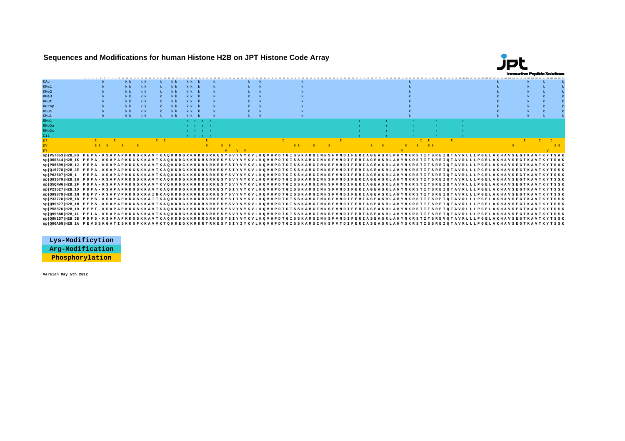**Sequences and Modifications for human Histone H2B on JPT Histone Code Array**



| KAC                                                                                                                                                    |        | k k     | k k | $\mathbf{k}$ | $k$ $k$        | kk k      |         |  |             |  |  |        |  |  |         |  |             |  |  |  |  |         |  |
|--------------------------------------------------------------------------------------------------------------------------------------------------------|--------|---------|-----|--------------|----------------|-----------|---------|--|-------------|--|--|--------|--|--|---------|--|-------------|--|--|--|--|---------|--|
| KMe1                                                                                                                                                   |        | k k     | k k |              | k <sub>k</sub> | k k       |         |  |             |  |  |        |  |  |         |  |             |  |  |  |  |         |  |
| KMe2                                                                                                                                                   |        | k k     | k k |              | $k$ $k$        | kk k      |         |  |             |  |  |        |  |  |         |  |             |  |  |  |  |         |  |
| KMe3                                                                                                                                                   |        | k k     | k k |              | $k$ $k$        | kk k      |         |  |             |  |  |        |  |  |         |  |             |  |  |  |  |         |  |
| <b>KBut</b>                                                                                                                                            |        | k k     | k   |              | $k$ $k$        | kk k      |         |  |             |  |  |        |  |  |         |  |             |  |  |  |  |         |  |
| KProp                                                                                                                                                  |        | kk      | k k |              | k k            | kk k      |         |  |             |  |  |        |  |  |         |  |             |  |  |  |  |         |  |
| <b>KSuc</b>                                                                                                                                            |        | $k$ $k$ | k k |              | $k$ $k$        | kk k      |         |  |             |  |  |        |  |  |         |  |             |  |  |  |  |         |  |
| <b>KMal</b>                                                                                                                                            |        | k k     | k k |              | $k$ $k$        | $k k$ $k$ |         |  |             |  |  |        |  |  |         |  |             |  |  |  |  |         |  |
| RMe1                                                                                                                                                   |        |         |     |              |                |           | rrrr    |  |             |  |  |        |  |  |         |  |             |  |  |  |  |         |  |
| RMe2a                                                                                                                                                  |        |         |     |              |                |           | r r r r |  |             |  |  |        |  |  |         |  |             |  |  |  |  |         |  |
| RMe2s                                                                                                                                                  |        |         |     |              |                |           | r r r r |  |             |  |  |        |  |  |         |  |             |  |  |  |  |         |  |
| Cit                                                                                                                                                    |        |         |     |              |                |           | r r r r |  |             |  |  |        |  |  |         |  |             |  |  |  |  |         |  |
| pT                                                                                                                                                     |        |         |     | t t          |                |           |         |  |             |  |  |        |  |  |         |  |             |  |  |  |  |         |  |
|                                                                                                                                                        | SS S S |         |     |              |                |           |         |  |             |  |  | SS S S |  |  | $S = S$ |  | $S$ $S$ $S$ |  |  |  |  | $S$ $S$ |  |
|                                                                                                                                                        |        |         |     |              |                |           |         |  | $y - y - y$ |  |  |        |  |  |         |  |             |  |  |  |  |         |  |
| sp P57053 H2B_FS PEPA-KSAPAPKKGSKKAVTKAQKKDGRKRKRSRKESYSVYVXKVLKQVHPDTGISSKAMGIMNSFVNDIFERIAGEASRLPHYNKRSTITSREIQTAVRLLLPGELAKHAVSEGTKAVTKYTSAK        |        |         |     |              |                |           |         |  |             |  |  |        |  |  |         |  |             |  |  |  |  |         |  |
| sp O60814 H2B 1K PEPA - KSAPAPKKGSKKAVTKAQKKDGKKRKRSRKESYSVYVYKVLKQVHPDTGISSKAMGIMNSFVNDIFERIAGEASRLAHYNKRSTITSREIQTAVRLLLPGELAKHAVSEGTKAVTKYTSAK      |        |         |     |              |                |           |         |  |             |  |  |        |  |  |         |  |             |  |  |  |  |         |  |
| sp PO6899 H2B 1J PEPA - KSAPAPKKGSKKAVTKAQKKDGKKRKRSRKESYSIYVYKVLKQVHPDTGISSKAMGIMNSFVNDIFERIAGEASRLAHYNKRSTITSREIQTAVRLLLPGELAKHAVSEGTKAVTKYTSAK      |        |         |     |              |                |           |         |  |             |  |  |        |  |  |         |  |             |  |  |  |  |         |  |
| sp Q16778 H2B 2E PEPA - KSAPAPKKGSKKAVTKAQKKDGKKRKRSRKESYSIYVYKVLKQVHPDTGISSKAMGIMNSFVNDIFERIAGEASRLAHYNKRSTITSREIQTAVRLLLPGELAKHAVSEGTKAVTKYTSSK      |        |         |     |              |                |           |         |  |             |  |  |        |  |  |         |  |             |  |  |  |  |         |  |
| sp P62807 H2B 1 PEPA - KSAPAPKKGSKKAVTKAQKKDGKKRKRSRKESYSVYVYKVLKQVHPDTGISSKAMGIMNSFVNDIFERIAGEASRLAHYNKRSTITSREIQTAVRLLLPGELAKHAVSEGTKAVTKYTSSK       |        |         |     |              |                |           |         |  |             |  |  |        |  |  |         |  |             |  |  |  |  |         |  |
| sp Q93079 H2B 1H PDPA - KSAPAPKKGSKKAVTKAQKKDGKKRKRSRKESYSVYVYKVLKQVHPDTGISSKAMGIMNSFVNDIFERIAGEASRLAHYNKRSTITSREIQTAVRLLLPGELAKHAVSEGTKAVTKYTSSK      |        |         |     |              |                |           |         |  |             |  |  |        |  |  |         |  |             |  |  |  |  |         |  |
| sp Q5QNW6 H2B 2F PDPA - KSAPAPKKGSKKAVTKVQKKDGKKRKRSRKESYSVYVYKVLKQVHPDTGISSKAMGIMNSFVNDIFERIAGEASRLAHYNKRSTITSREIQTAVRLLLPGELAKHAVSEGTKAVTKYTSSK      |        |         |     |              |                |           |         |  |             |  |  |        |  |  |         |  |             |  |  |  |  |         |  |
| sp P23527 H2B 10 PDPA - KSAPAPKKGSKKAVTKAQKKDGKKRKRKRSRKESYSIYVYKVLKQVHPDTGISSKAMGIMNSFVNDIFERIAGEASRLAHYNKRSTITSREIQTAVRLLLPGELAKHAVSEGTKAVTKYTSSK    |        |         |     |              |                |           |         |  |             |  |  |        |  |  |         |  |             |  |  |  |  |         |  |
| spl099879 H2B 1M PEPV - KSAPVPKKGSKKAINKAOKKDGKKRKRSRKESYSVYVYKVLKOVHPDTGISSKAMGIMNSFVNDIFERIAGEASRLAHYNKRSTITSREIOTAVRLLLPGELAKHAVSEGTKAVTKYTSSK      |        |         |     |              |                |           |         |  |             |  |  |        |  |  |         |  |             |  |  |  |  |         |  |
| sp P33778 H2B_1B PEPS-KSAPAPKKGSKKAITKAQKKDGKKRKRSRKESYSIYVYKVLKQVHPDTGISSKAMGIMNSFVNDIFERIAGEASRLAHYNKRSTITSREIQTAVRLLLPGELAKHAVSEGTKAVTKYTSSK        |        |         |     |              |                |           |         |  |             |  |  |        |  |  |         |  |             |  |  |  |  |         |  |
| sp   Q99877   H2B 1N PEPS - KSAPAPKKGSKKAVTKAQKKDGKKRKRSRKESYSVYVYKVLKQVHPDTGISSKAMGIMNSFVNDIFERIAGEASRLAHYNKRSTITSREI QTAVRLLLPGELAKHAVSEGTKAVTKYTSSK |        |         |     |              |                |           |         |  |             |  |  |        |  |  |         |  |             |  |  |  |  |         |  |
| sp   P58876   H2B 1D PEPT - KSAPAPKKGSKKAVTKAQKKDGKKRKRSRKESYSVYVYKVLKQVHPDTGISSKAMGIMNSFVNDIFERIAGEASRLAHYNKRSTITSREIQTAVRLLLPGELAKHAVSEGTKAVTKYTSSK  |        |         |     |              |                |           |         |  |             |  |  |        |  |  |         |  |             |  |  |  |  |         |  |
| sp Q99880 H2B 1L PELA - KSAPAPKKGSKKAVTKAQKKDGKKRKRSRKESYSVYVYKVLKQVHPDTGISSKAMGIMNSFVNDIFERIASEASRLAHYNKRSTITSREIQTAVRLLLPGELAKHAVSEGTKAVTKYTSSK      |        |         |     |              |                |           |         |  |             |  |  |        |  |  |         |  |             |  |  |  |  |         |  |
| sp Q8N257 H2B 3B PDPS - KSAPAPKKGSKKAVTKAQKKDGKKRKRGRKESYSIYVYKVLKQVHPDTGISSKAMGIMNSFVNDIFERIASEASRLAHYNKRSTITSREVQTAVRLLLPGELAKHAVSEGTKAVTKYTSSK      |        |         |     |              |                |           |         |  |             |  |  |        |  |  |         |  |             |  |  |  |  |         |  |
| sp Q96A08 H2B 1A PEVSSKGATISKKGFKKAVVKTQKKEGKKRKRTRKESYSIYIYKVLKQVHPDTGISSKAMSIMNSFVTDIFERIASEASRLAHYSKRSTISSREIQTAVRLLLPGELAKHAVSEGTKAVTKYTSSK        |        |         |     |              |                |           |         |  |             |  |  |        |  |  |         |  |             |  |  |  |  |         |  |

**Lys-Modificytion Arg-Modification Phosphorylation**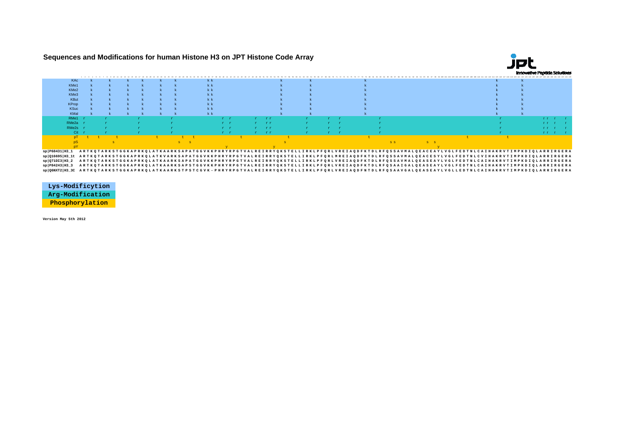## **Sequences and Modifications for human Histone H3 on JPT Histone Code Array**



|                                                                                                                                                         | <b>KAc</b> |                                                                                                                                         |  |  |  | k k |     |  |      |  |  |                                                                               |  |      |  |  |  |  |         |  |
|---------------------------------------------------------------------------------------------------------------------------------------------------------|------------|-----------------------------------------------------------------------------------------------------------------------------------------|--|--|--|-----|-----|--|------|--|--|-------------------------------------------------------------------------------|--|------|--|--|--|--|---------|--|
| KMe <sup>*</sup>                                                                                                                                        |            |                                                                                                                                         |  |  |  |     |     |  |      |  |  |                                                                               |  |      |  |  |  |  |         |  |
| KMe2                                                                                                                                                    |            |                                                                                                                                         |  |  |  |     |     |  |      |  |  |                                                                               |  |      |  |  |  |  |         |  |
| KMe3                                                                                                                                                    |            |                                                                                                                                         |  |  |  |     |     |  |      |  |  |                                                                               |  |      |  |  |  |  |         |  |
|                                                                                                                                                         | KBut       |                                                                                                                                         |  |  |  |     |     |  |      |  |  |                                                                               |  |      |  |  |  |  |         |  |
|                                                                                                                                                         |            |                                                                                                                                         |  |  |  |     |     |  |      |  |  |                                                                               |  |      |  |  |  |  |         |  |
| <b>KProp</b>                                                                                                                                            |            |                                                                                                                                         |  |  |  |     |     |  |      |  |  |                                                                               |  |      |  |  |  |  |         |  |
| KSuc                                                                                                                                                    |            |                                                                                                                                         |  |  |  |     |     |  |      |  |  |                                                                               |  |      |  |  |  |  |         |  |
| KMal                                                                                                                                                    |            |                                                                                                                                         |  |  |  | k k |     |  |      |  |  |                                                                               |  |      |  |  |  |  |         |  |
| RMe1                                                                                                                                                    |            |                                                                                                                                         |  |  |  |     | r r |  | . rr |  |  |                                                                               |  |      |  |  |  |  |         |  |
| RMe2a                                                                                                                                                   |            |                                                                                                                                         |  |  |  |     | r r |  |      |  |  |                                                                               |  |      |  |  |  |  |         |  |
|                                                                                                                                                         | RMe2s      |                                                                                                                                         |  |  |  |     | r r |  |      |  |  |                                                                               |  |      |  |  |  |  |         |  |
|                                                                                                                                                         | Cit        |                                                                                                                                         |  |  |  |     | r r |  |      |  |  |                                                                               |  |      |  |  |  |  | n n i s |  |
|                                                                                                                                                         |            |                                                                                                                                         |  |  |  |     |     |  |      |  |  |                                                                               |  |      |  |  |  |  |         |  |
|                                                                                                                                                         |            |                                                                                                                                         |  |  |  |     |     |  |      |  |  |                                                                               |  | 8.81 |  |  |  |  |         |  |
|                                                                                                                                                         |            |                                                                                                                                         |  |  |  |     |     |  |      |  |  |                                                                               |  |      |  |  |  |  |         |  |
| sp P68431 H3_1                                                                                                                                          |            | ARTKQTARKSTGGKAPRKQLATKAARKSAPATGGVKKPHRYRPGTVALREIRRYQKSTELLIRKLPFQRLVREIAQDFKTDLRFQSSAVMALQEACEAYLVGLFEDTNLCAIHAKRVTIMPKDIQLARRIRGERA |  |  |  |     |     |  |      |  |  |                                                                               |  |      |  |  |  |  |         |  |
| sp Q16695 H3_1t ARTKQTARKSTGGKAPRKQLATKVARKSAPATGGVKKPHRYRPGTVALREIRRYQKSTELLIRKLPFQRLMREIAQDFKTDLRFQSSAVMALQEACESYLVGLFEDTNLCVIHAKRVTIMPKDIQLARRIRGERA |            |                                                                                                                                         |  |  |  |     |     |  |      |  |  |                                                                               |  |      |  |  |  |  |         |  |
| $sp Q71D13 H3_2$                                                                                                                                        |            | ARTKQTARKSTGGKAPRKQLATKAARKSAPATGGVKKPHRYRPGTVALREIRRYQKSTELLIRKLPFQRLVREIAQDFKTDLRFQSSAVMALQEASEAYLVGLFEDTNLCAIHAKRVTIMPKDIQLARRIRGERA |  |  |  |     |     |  |      |  |  |                                                                               |  |      |  |  |  |  |         |  |
| en10842431133                                                                                                                                           |            |                                                                                                                                         |  |  |  |     |     |  |      |  |  | ססממסיססג זמות שם אד הטסעג שוג ה והשתת סגים גם גם אסמים הביציאים המציעים של ה |  |      |  |  |  |  |         |  |

sp|P84243|H3\_3 АRTKQTARKSTGGKAPRKQLATKAARKSAPSTGGVKKPHRYRPGTVALREIRRYQKSTELLIRKLPFQRLVREIAQDFKTDLRFQSAAIGALQEASEAYLVGLFEDTNLCAIHAKRVTIMPKDIQLARRIRGERA<br>sp|Q6NXT2|H3\_3C ARTKQTARKSTGGKAPRKQLATKAARKSTPSTCGVK - PHRYRPGTVALREIR